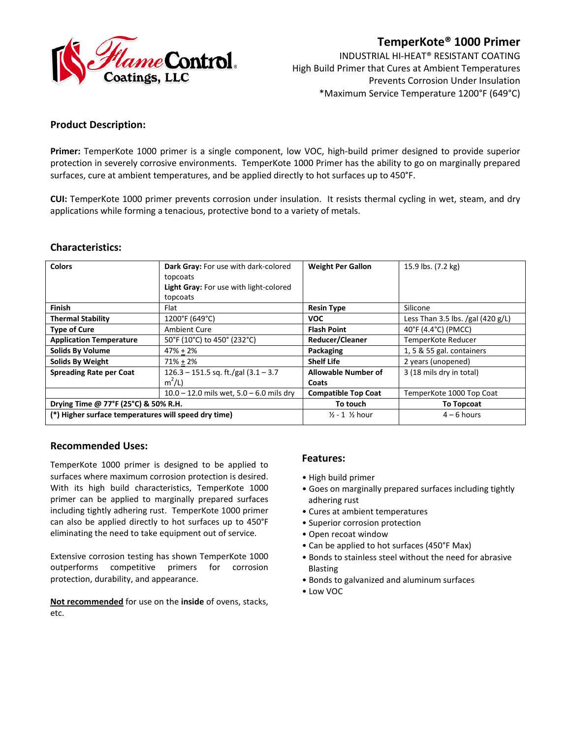

# **TemperKote® 1000 Primer**

INDUSTRIAL HI-HEAT® RESISTANT COATING High Build Primer that Cures at Ambient Temperatures Prevents Corrosion Under Insulation \*Maximum Service Temperature 1200°F (649°C)

# **Product Description:**

**Primer:** TemperKote 1000 primer is a single component, low VOC, high-build primer designed to provide superior protection in severely corrosive environments. TemperKote 1000 Primer has the ability to go on marginally prepared surfaces, cure at ambient temperatures, and be applied directly to hot surfaces up to 450°F.

**CUI:** TemperKote 1000 primer prevents corrosion under insulation. It resists thermal cycling in wet, steam, and dry applications while forming a tenacious, protective bond to a variety of metals.

## **Characteristics:**

| <b>Colors</b>                                        | Dark Gray: For use with dark-colored         | <b>Weight Per Gallon</b>             | 15.9 lbs. (7.2 kg)                  |
|------------------------------------------------------|----------------------------------------------|--------------------------------------|-------------------------------------|
|                                                      | topcoats                                     |                                      |                                     |
|                                                      | Light Gray: For use with light-colored       |                                      |                                     |
|                                                      | topcoats                                     |                                      |                                     |
| <b>Finish</b>                                        | Flat                                         | <b>Resin Type</b>                    | Silicone                            |
| <b>Thermal Stability</b>                             | 1200°F (649°C)                               | <b>VOC</b>                           | Less Than 3.5 lbs. $/gal$ (420 g/L) |
| <b>Type of Cure</b>                                  | <b>Ambient Cure</b>                          | <b>Flash Point</b>                   | 40°F (4.4°C) (PMCC)                 |
| <b>Application Temperature</b>                       | 50°F (10°C) to 450° (232°C)                  | Reducer/Cleaner                      | TemperKote Reducer                  |
| <b>Solids By Volume</b>                              | $47\% + 2\%$                                 | Packaging                            | 1, 5 & 55 gal. containers           |
| <b>Solids By Weight</b>                              | $71\% + 2\%$                                 | <b>Shelf Life</b>                    | 2 years (unopened)                  |
| <b>Spreading Rate per Coat</b>                       | $126.3 - 151.5$ sq. ft./gal $(3.1 - 3.7)$    | <b>Allowable Number of</b>           | 3 (18 mils dry in total)            |
|                                                      | $m^2/L$                                      | Coats                                |                                     |
|                                                      | $10.0 - 12.0$ mils wet, $5.0 - 6.0$ mils dry | <b>Compatible Top Coat</b>           | TemperKote 1000 Top Coat            |
| Drying Time @ 77°F (25°C) & 50% R.H.                 |                                              | To touch                             | <b>To Topcoat</b>                   |
| (*) Higher surface temperatures will speed dry time) |                                              | $\frac{1}{2}$ - 1 $\frac{1}{2}$ hour | $4 - 6$ hours                       |

## **Recommended Uses:**

TemperKote 1000 primer is designed to be applied to surfaces where maximum corrosion protection is desired. With its high build characteristics, TemperKote 1000 primer can be applied to marginally prepared surfaces including tightly adhering rust. TemperKote 1000 primer can also be applied directly to hot surfaces up to 450°F eliminating the need to take equipment out of service.

Extensive corrosion testing has shown TemperKote 1000 outperforms competitive primers for corrosion protection, durability, and appearance.

**Not recommended** for use on the **inside** of ovens, stacks, etc.

# **Features:**

- High build primer
- Goes on marginally prepared surfaces including tightly adhering rust
- Cures at ambient temperatures
- Superior corrosion protection
- Open recoat window
- Can be applied to hot surfaces (450°F Max)
- Bonds to stainless steel without the need for abrasive Blasting
- Bonds to galvanized and aluminum surfaces
- Low VOC